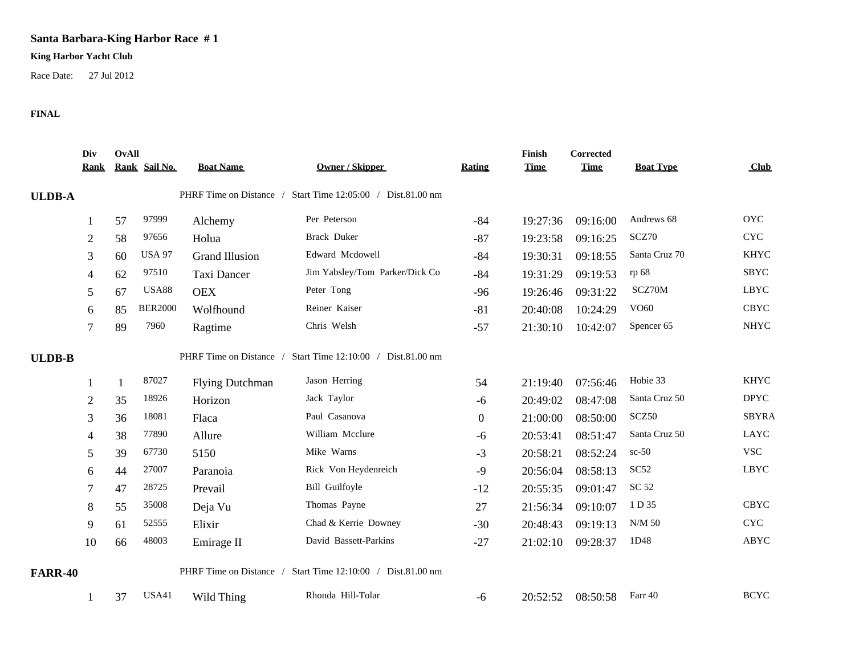## **Santa Barbara-King Harbor Race # 1**

## **King Harbor Yacht Club**

Race Date: 27 Jul 2012

## **FINAL**

|                | Div<br><b>Rank</b> | <b>OvAll</b> | Rank Sail No.  | <b>Boat Name</b>       | <b>Owner / Skipper</b>                                      | Rating           | Finish<br><b>Time</b> | Corrected<br><b>Time</b> | <b>Boat Type</b> | Club                      |
|----------------|--------------------|--------------|----------------|------------------------|-------------------------------------------------------------|------------------|-----------------------|--------------------------|------------------|---------------------------|
| <b>ULDB-A</b>  |                    |              |                |                        | PHRF Time on Distance / Start Time 12:05:00 / Dist.81.00 nm |                  |                       |                          |                  |                           |
|                |                    | 57           | 97999          | Alchemy                | Per Peterson                                                | $-84$            | 19:27:36              | 09:16:00                 | Andrews 68       | <b>OYC</b>                |
|                | 2                  | 58           | 97656          | Holua                  | <b>Brack Duker</b>                                          | $-87$            | 19:23:58              | 09:16:25                 | SCZ70            | <b>CYC</b>                |
|                | 3                  | 60           | <b>USA 97</b>  | <b>Grand Illusion</b>  | Edward Mcdowell                                             | $-84$            | 19:30:31              | 09:18:55                 | Santa Cruz 70    | <b>KHYC</b>               |
|                | 4                  | 62           | 97510          | Taxi Dancer            | Jim Yabsley/Tom Parker/Dick Co                              | $-84$            | 19:31:29              | 09:19:53                 | rp 68            | <b>SBYC</b>               |
|                | 5                  | 67           | <b>USA88</b>   | <b>OEX</b>             | Peter Tong                                                  | $-96$            | 19:26:46              | 09:31:22                 | SCZ70M           | <b>LBYC</b>               |
|                | 6                  | 85           | <b>BER2000</b> | Wolfhound              | Reiner Kaiser                                               | $-81$            | 20:40:08              | 10:24:29                 | VO60             | <b>CBYC</b>               |
|                |                    | 89           | 7960           | Ragtime                | Chris Welsh                                                 | $-57$            | 21:30:10              | 10:42:07                 | Spencer 65       | <b>NHYC</b>               |
| <b>ULDB-B</b>  |                    |              |                |                        | PHRF Time on Distance / Start Time 12:10:00 / Dist.81.00 nm |                  |                       |                          |                  |                           |
|                |                    | $\mathbf{1}$ | 87027          | <b>Flying Dutchman</b> | Jason Herring                                               | 54               | 21:19:40              | 07:56:46                 | Hobie 33         | <b>KHYC</b>               |
|                | 2                  | 35           | 18926          | Horizon                | Jack Taylor                                                 | $-6$             | 20:49:02              | 08:47:08                 | Santa Cruz 50    | <b>DPYC</b>               |
|                | 3                  | 36           | 18081          | Flaca                  | Paul Casanova                                               | $\boldsymbol{0}$ | 21:00:00              | 08:50:00                 | SCZ50            | <b>SBYRA</b>              |
|                |                    | 38           | 77890          | Allure                 | William Mcclure                                             | -6               | 20:53:41              | 08:51:47                 | Santa Cruz 50    | LAYC                      |
|                | 5                  | 39           | 67730          | 5150                   | Mike Warns                                                  | $-3$             | 20:58:21              | 08:52:24                 | $sc-50$          | <b>VSC</b>                |
|                | 6                  | 44           | 27007          | Paranoia               | Rick Von Heydenreich                                        | $-9$             | 20:56:04              | 08:58:13                 | SC <sub>52</sub> | <b>LBYC</b>               |
|                |                    | 47           | 28725          | Prevail                | Bill Guilfoyle                                              | $-12$            | 20:55:35              | 09:01:47                 | SC 52            |                           |
|                | 8                  | 55           | 35008          | Deja Vu                | Thomas Payne                                                | 27               | 21:56:34              | 09:10:07                 | 1 D 35           | <b>CBYC</b>               |
|                | 9                  | 61           | 52555          | Elixir                 | Chad & Kerrie Downey                                        | $-30$            | 20:48:43              | 09:19:13                 | N/M 50           | $\ensuremath{\text{CYC}}$ |
|                | 10                 | 66           | 48003          | Emirage II             | David Bassett-Parkins                                       | $-27$            | 21:02:10              | 09:28:37                 | 1D48             | ABYC                      |
| <b>FARR-40</b> |                    |              |                |                        | PHRF Time on Distance / Start Time 12:10:00 / Dist.81.00 nm |                  |                       |                          |                  |                           |
|                |                    | 37           | USA41          | Wild Thing             | Rhonda Hill-Tolar                                           | $-6$             | 20:52:52              | 08:50:58                 | Farr 40          | <b>BCYC</b>               |
|                |                    |              |                |                        |                                                             |                  |                       |                          |                  |                           |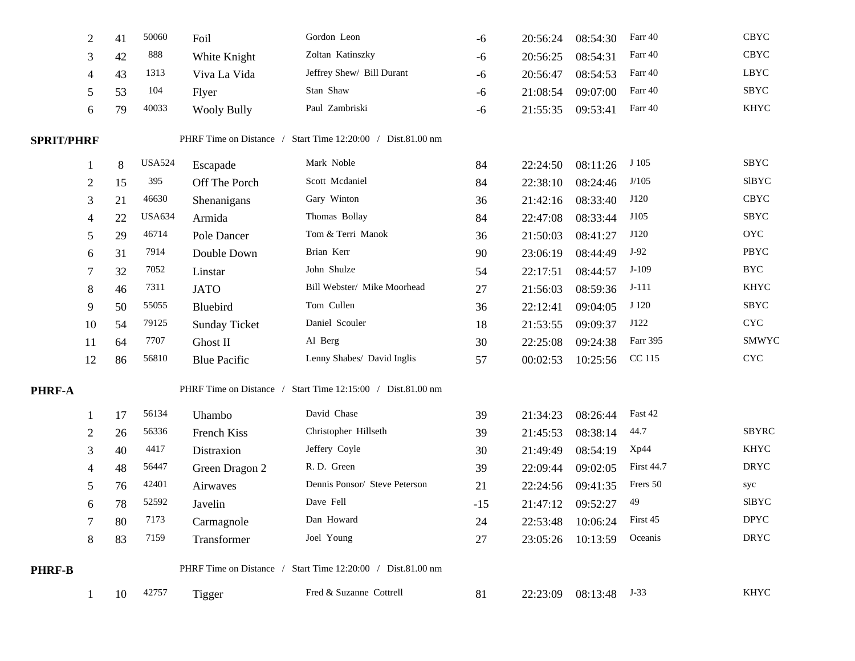|                   | $\overline{2}$ | 41 | 50060         | Foil                 | Gordon Leon                                                 | -6    | 20:56:24 | 08:54:30 | Farr 40           | <b>CBYC</b>               |
|-------------------|----------------|----|---------------|----------------------|-------------------------------------------------------------|-------|----------|----------|-------------------|---------------------------|
|                   | 3              | 42 | 888           | White Knight         | Zoltan Katinszky                                            | -6    | 20:56:25 | 08:54:31 | Farr 40           | <b>CBYC</b>               |
|                   | 4              | 43 | 1313          | Viva La Vida         | Jeffrey Shew/ Bill Durant                                   | -6    | 20:56:47 | 08:54:53 | Farr 40           | <b>LBYC</b>               |
|                   | 5              | 53 | 104           | Flyer                | Stan Shaw                                                   | -6    | 21:08:54 | 09:07:00 | Farr 40           | SBYC                      |
|                   | 6              | 79 | 40033         | <b>Wooly Bully</b>   | Paul Zambriski                                              | -6    | 21:55:35 | 09:53:41 | Farr 40           | <b>KHYC</b>               |
| <b>SPRIT/PHRF</b> |                |    |               |                      | PHRF Time on Distance / Start Time 12:20:00 / Dist.81.00 nm |       |          |          |                   |                           |
|                   |                | 8  | <b>USA524</b> | Escapade             | Mark Noble                                                  | 84    | 22:24:50 | 08:11:26 | J 105             | SBYC                      |
|                   | 2              | 15 | 395           | Off The Porch        | Scott Mcdaniel                                              | 84    | 22:38:10 | 08:24:46 | J/105             | <b>SIBYC</b>              |
|                   | 3              | 21 | 46630         | Shenanigans          | Gary Winton                                                 | 36    | 21:42:16 | 08:33:40 | J120              | <b>CBYC</b>               |
|                   | 4              | 22 | <b>USA634</b> | Armida               | Thomas Bollay                                               | 84    | 22:47:08 | 08:33:44 | J105              | <b>SBYC</b>               |
|                   | 5              | 29 | 46714         | Pole Dancer          | Tom & Terri Manok                                           | 36    | 21:50:03 | 08:41:27 | J120              | <b>OYC</b>                |
|                   | 6              | 31 | 7914          | Double Down          | Brian Kerr                                                  | 90    | 23:06:19 | 08:44:49 | $J-92$            | PBYC                      |
|                   |                | 32 | 7052          | Linstar              | John Shulze                                                 | 54    | 22:17:51 | 08:44:57 | $J-109$           | <b>BYC</b>                |
|                   | 8              | 46 | 7311          | <b>JATO</b>          | Bill Webster/ Mike Moorhead                                 | 27    | 21:56:03 | 08:59:36 | $J-111$           | <b>KHYC</b>               |
|                   | 9              | 50 | 55055         | Bluebird             | Tom Cullen                                                  | 36    | 22:12:41 | 09:04:05 | J 120             | SBYC                      |
|                   | 10             | 54 | 79125         | <b>Sunday Ticket</b> | Daniel Scouler                                              | 18    | 21:53:55 | 09:09:37 | J122              | $\ensuremath{\text{CYC}}$ |
|                   | -11            | 64 | 7707          | Ghost II             | Al Berg                                                     | 30    | 22:25:08 | 09:24:38 | Farr 395          | <b>SMWYC</b>              |
|                   | 12             | 86 | 56810         | <b>Blue Pacific</b>  | Lenny Shabes/ David Inglis                                  | 57    | 00:02:53 | 10:25:56 | CC 115            | $\ensuremath{\text{CYC}}$ |
| PHRF-A            |                |    |               |                      | PHRF Time on Distance / Start Time 12:15:00 / Dist.81.00 nm |       |          |          |                   |                           |
|                   |                | 17 | 56134         | Uhambo               | David Chase                                                 | 39    | 21:34:23 | 08:26:44 | Fast 42           |                           |
|                   | 2              | 26 | 56336         | French Kiss          | Christopher Hillseth                                        | 39    | 21:45:53 | 08:38:14 | 44.7              | <b>SBYRC</b>              |
|                   | 3              | 40 | 4417          | Distraxion           | Jeffery Coyle                                               | 30    | 21:49:49 | 08:54:19 | Xp44              | <b>KHYC</b>               |
|                   |                | 48 | 56447         | Green Dragon 2       | R.D. Green                                                  | 39    | 22:09:44 | 09:02:05 | <b>First 44.7</b> | <b>DRYC</b>               |
|                   | 5              | 76 | 42401         | Airwaves             | Dennis Ponsor/ Steve Peterson                               | 21    | 22:24:56 | 09:41:35 | Frers 50          | syc                       |
|                   | 6              | 78 | 52592         | Javelin              | Dave Fell                                                   | $-15$ | 21:47:12 | 09:52:27 | 49                | <b>SIBYC</b>              |
|                   |                | 80 | 7173          | Carmagnole           | Dan Howard                                                  | 24    | 22:53:48 | 10:06:24 | First 45          | <b>DPYC</b>               |
|                   | 8              | 83 | 7159          | Transformer          | Joel Young                                                  | 27    | 23:05:26 | 10:13:59 | Oceanis           | <b>DRYC</b>               |
| PHRF-B            |                |    |               |                      | PHRF Time on Distance / Start Time 12:20:00 / Dist.81.00 nm |       |          |          |                   |                           |
|                   | 1              | 10 | 42757         | Tigger               | Fred & Suzanne Cottrell                                     | 81    | 22:23:09 | 08:13:48 | $J-33$            | KHYC                      |
|                   |                |    |               |                      |                                                             |       |          |          |                   |                           |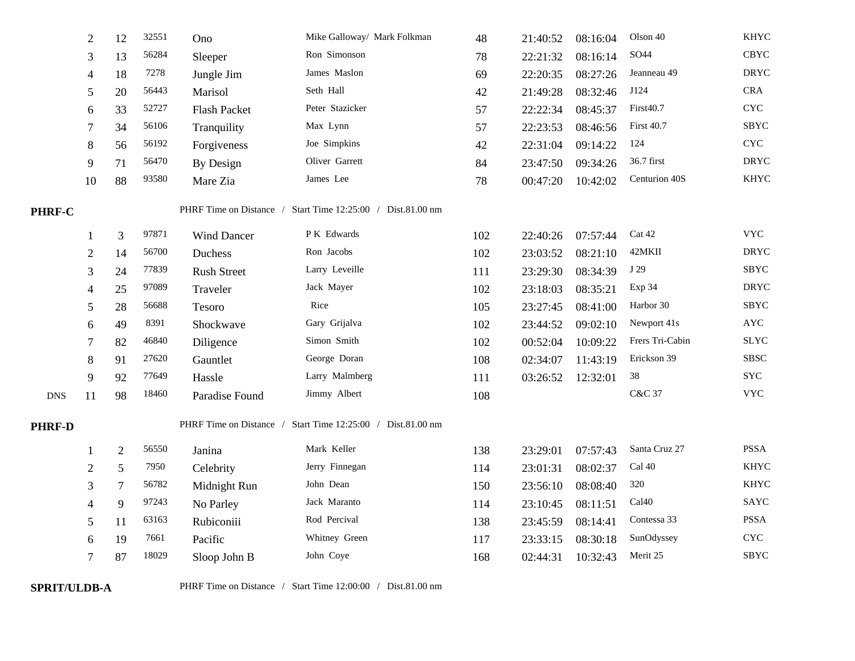|               | $\overline{2}$ | 12             | 32551 | Ono                | Mike Galloway/ Mark Folkman                                 | 48  | 21:40:52 | 08:16:04 | Olson 40          | <b>KHYC</b>               |
|---------------|----------------|----------------|-------|--------------------|-------------------------------------------------------------|-----|----------|----------|-------------------|---------------------------|
|               | 3              | 13             | 56284 | Sleeper            | Ron Simonson                                                | 78  | 22:21:32 | 08:16:14 | SO44              | CBYC                      |
|               | 4              | 18             | 7278  | Jungle Jim         | James Maslon                                                | 69  | 22:20:35 | 08:27:26 | Jeanneau 49       | <b>DRYC</b>               |
|               | 5              | 20             | 56443 | Marisol            | Seth Hall                                                   | 42  | 21:49:28 | 08:32:46 | J124              | <b>CRA</b>                |
|               | 6              | 33             | 52727 | Flash Packet       | Peter Stazicker                                             | 57  | 22:22:34 | 08:45:37 | First40.7         | <b>CYC</b>                |
|               |                | 34             | 56106 | Tranquility        | Max Lynn                                                    | 57  | 22:23:53 | 08:46:56 | <b>First 40.7</b> | <b>SBYC</b>               |
|               | 8              | 56             | 56192 | Forgiveness        | Joe Simpkins                                                | 42  | 22:31:04 | 09:14:22 | 124               | $\ensuremath{\text{CYC}}$ |
|               | 9              | 71             | 56470 | By Design          | Oliver Garrett                                              | 84  | 23:47:50 | 09:34:26 | 36.7 first        | <b>DRYC</b>               |
|               | 10             | 88             | 93580 | Mare Zia           | James Lee                                                   | 78  | 00:47:20 | 10:42:02 | Centurion 40S     | <b>KHYC</b>               |
| <b>PHRF-C</b> |                |                |       |                    | PHRF Time on Distance / Start Time 12:25:00 / Dist.81.00 nm |     |          |          |                   |                           |
|               |                | 3              | 97871 | Wind Dancer        | P K Edwards                                                 | 102 | 22:40:26 | 07:57:44 | Cat 42            | <b>VYC</b>                |
|               | $\overline{2}$ | 14             | 56700 | Duchess            | Ron Jacobs                                                  | 102 | 23:03:52 | 08:21:10 | 42MKII            | <b>DRYC</b>               |
|               | 3              | 24             | 77839 | <b>Rush Street</b> | Larry Leveille                                              | 111 | 23:29:30 | 08:34:39 | J 29              | SBYC                      |
|               |                | 25             | 97089 | Traveler           | Jack Mayer                                                  | 102 | 23:18:03 | 08:35:21 | Exp 34            | <b>DRYC</b>               |
|               | 5              | 28             | 56688 | Tesoro             | Rice                                                        | 105 | 23:27:45 | 08:41:00 | Harbor 30         | SBYC                      |
|               | 6              | 49             | 8391  | Shockwave          | Gary Grijalva                                               | 102 | 23:44:52 | 09:02:10 | Newport 41s       | <b>AYC</b>                |
|               |                | 82             | 46840 | Diligence          | Simon Smith                                                 | 102 | 00:52:04 | 10:09:22 | Frers Tri-Cabin   | $\operatorname{SLYC}$     |
|               | 8              | 91             | 27620 | Gauntlet           | George Doran                                                | 108 | 02:34:07 | 11:43:19 | Erickson 39       | <b>SBSC</b>               |
|               | 9              | 92             | 77649 | Hassle             | Larry Malmberg                                              | 111 | 03:26:52 | 12:32:01 | $38\,$            | $_{\mathrm{SYC}}$         |
| <b>DNS</b>    | 11             | 98             | 18460 | Paradise Found     | Jimmy Albert                                                | 108 |          |          | C&C 37            | $_{\rm VYC}$              |
| <b>PHRF-D</b> |                |                |       |                    | PHRF Time on Distance / Start Time 12:25:00 / Dist.81.00 nm |     |          |          |                   |                           |
|               |                | $\overline{2}$ | 56550 | Janina             | Mark Keller                                                 | 138 | 23:29:01 | 07:57:43 | Santa Cruz 27     | <b>PSSA</b>               |
|               | 2              | 5              | 7950  | Celebrity          | Jerry Finnegan                                              | 114 | 23:01:31 | 08:02:37 | Cal 40            | <b>KHYC</b>               |
|               | 3              | 7              | 56782 | Midnight Run       | John Dean                                                   | 150 | 23:56:10 | 08:08:40 | 320               | <b>KHYC</b>               |
|               |                | 9              | 97243 | No Parley          | Jack Maranto                                                | 114 | 23:10:45 | 08:11:51 | Cal <sub>40</sub> | <b>SAYC</b>               |
|               | 5              | 11             | 63163 | Rubiconiii         | Rod Percival                                                | 138 | 23:45:59 | 08:14:41 | Contessa 33       | <b>PSSA</b>               |
|               | 6              | 19             | 7661  | Pacific            | Whitney Green                                               | 117 | 23:33:15 | 08:30:18 | SunOdyssey        | $\ensuremath{\text{CYC}}$ |
|               | 7              | 87             | 18029 | Sloop John B       | John Coye                                                   | 168 | 02:44:31 | 10:32:43 | Merit 25          | <b>SBYC</b>               |
|               |                |                |       |                    |                                                             |     |          |          |                   |                           |

**SPRIT/ULDB-A** PHRF Time on Distance / Start Time 12:00:00 / Dist.81.00 nm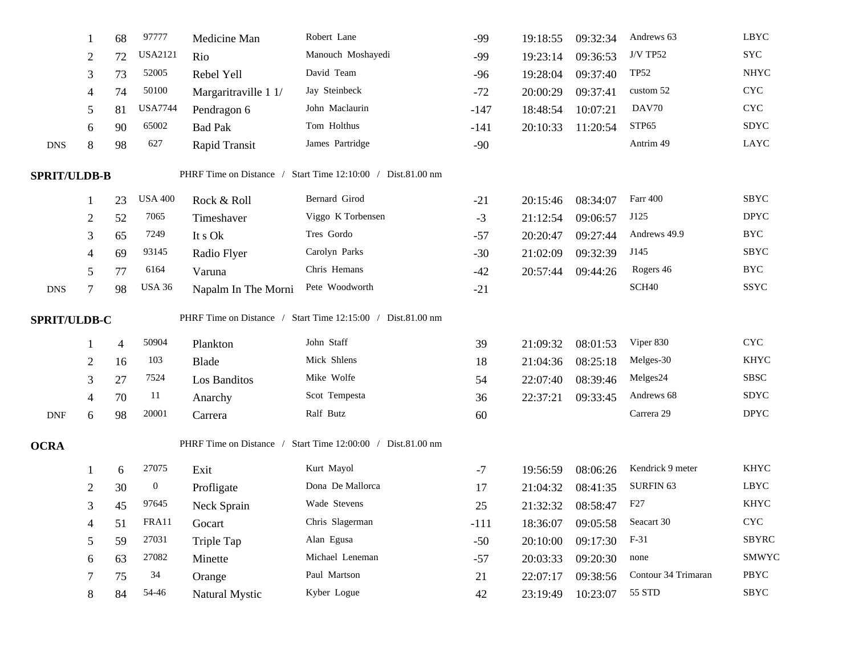|                             |                | 68 | 97777                                                       | Medicine Man            | Robert Lane                         | $-99$  | 19:18:55 | 09:32:34 | Andrews 63           | <b>LBYC</b>               |
|-----------------------------|----------------|----|-------------------------------------------------------------|-------------------------|-------------------------------------|--------|----------|----------|----------------------|---------------------------|
|                             | $\overline{2}$ | 72 | <b>USA2121</b>                                              | Rio                     | Manouch Moshayedi                   | $-99$  | 19:23:14 | 09:36:53 | <b>J/V TP52</b>      | <b>SYC</b>                |
|                             | 3              | 73 | 52005                                                       | Rebel Yell              | David Team                          | $-96$  | 19:28:04 | 09:37:40 | <b>TP52</b>          | <b>NHYC</b>               |
|                             | 4              | 74 | 50100                                                       | Margaritraville 1 1/    | Jay Steinbeck                       | $-72$  | 20:00:29 | 09:37:41 | custom 52            | $\ensuremath{\text{CYC}}$ |
|                             | 5              | 81 | <b>USA7744</b>                                              | Pendragon 6             | John Maclaurin                      | $-147$ | 18:48:54 | 10:07:21 | DAV70                | $\ensuremath{\text{CYC}}$ |
|                             | 6              | 90 | 65002                                                       | <b>Bad Pak</b>          | Tom Holthus                         | $-141$ | 20:10:33 | 11:20:54 | STP <sub>65</sub>    | <b>SDYC</b>               |
| <b>DNS</b>                  | $\,8\,$        | 98 | 627                                                         | Rapid Transit           | James Partridge                     | $-90$  |          |          | Antrim 49            | LAYC                      |
| <b>SPRIT/ULDB-B</b>         |                |    |                                                             | PHRF Time on Distance / | Start Time 12:10:00 / Dist.81.00 nm |        |          |          |                      |                           |
|                             |                | 23 | <b>USA 400</b>                                              | Rock & Roll             | Bernard Girod                       | $-21$  | 20:15:46 | 08:34:07 | Farr 400             | SBYC                      |
|                             | 2              | 52 | 7065                                                        | Timeshaver              | Viggo K Torbensen                   | $-3$   | 21:12:54 | 09:06:57 | J125                 | <b>DPYC</b>               |
|                             | 3              | 65 | 7249                                                        | It s Ok                 | Tres Gordo                          | $-57$  | 20:20:47 | 09:27:44 | Andrews 49.9         | <b>BYC</b>                |
|                             | 4              | 69 | 93145                                                       | Radio Flyer             | Carolyn Parks                       | $-30$  | 21:02:09 | 09:32:39 | J145                 | <b>SBYC</b>               |
|                             | 5              | 77 | 6164                                                        | Varuna                  | Chris Hemans                        | $-42$  | 20:57:44 | 09:44:26 | Rogers 46            | <b>BYC</b>                |
| <b>DNS</b>                  | 7              | 98 | <b>USA 36</b>                                               | Napalm In The Morni     | Pete Woodworth                      | $-21$  |          |          | SCH <sub>40</sub>    | SSYC                      |
| SPRIT/ULDB-C                |                |    | PHRF Time on Distance / Start Time 12:15:00 / Dist.81.00 nm |                         |                                     |        |          |          |                      |                           |
|                             |                | 4  | 50904                                                       | Plankton                | John Staff                          | 39     | 21:09:32 | 08:01:53 | Viper 830            | $\ensuremath{\text{CYC}}$ |
|                             | 2              | 16 | 103                                                         | Blade                   | Mick Shlens                         | 18     | 21:04:36 | 08:25:18 | Melges-30            | <b>KHYC</b>               |
|                             | 3              | 27 | 7524                                                        | Los Banditos            | Mike Wolfe                          | 54     | 22:07:40 | 08:39:46 | Melges24             | <b>SBSC</b>               |
|                             | 4              | 70 | 11                                                          | Anarchy                 | Scot Tempesta                       | 36     | 22:37:21 | 09:33:45 | Andrews 68           | SDYC                      |
| $\ensuremath{\mathrm{DNF}}$ | 6              | 98 | 20001                                                       | Carrera                 | Ralf Butz                           | 60     |          |          | Carrera 29           | <b>DPYC</b>               |
| <b>OCRA</b>                 |                |    |                                                             | PHRF Time on Distance / | Start Time 12:00:00 / Dist.81.00 nm |        |          |          |                      |                           |
|                             |                | 6  | 27075                                                       | Exit                    | Kurt Mayol                          | $-7$   | 19:56:59 | 08:06:26 | Kendrick 9 meter     | <b>KHYC</b>               |
|                             | $\overline{2}$ | 30 | $\boldsymbol{0}$                                            | Profligate              | Dona De Mallorca                    | 17     | 21:04:32 | 08:41:35 | SURFIN <sub>63</sub> | LBYC                      |
|                             | 3              | 45 | 97645                                                       | Neck Sprain             | Wade Stevens                        | 25     | 21:32:32 | 08:58:47 | F <sub>27</sub>      | <b>KHYC</b>               |
|                             | 4              | 51 | FRA11                                                       | Gocart                  | Chris Slagerman                     | $-111$ | 18:36:07 | 09:05:58 | Seacart 30           | $\ensuremath{\text{CYC}}$ |
|                             | 5              | 59 | 27031                                                       | Triple Tap              | Alan Egusa                          | $-50$  | 20:10:00 | 09:17:30 | $F-31$               | <b>SBYRC</b>              |
|                             | 6              | 63 | 27082                                                       | Minette                 | Michael Leneman                     | $-57$  | 20:03:33 | 09:20:30 | none                 | SMWYC                     |
|                             |                | 75 | 34                                                          | Orange                  | Paul Martson                        | 21     | 22:07:17 | 09:38:56 | Contour 34 Trimaran  | PBYC                      |
|                             | 8              | 84 | 54-46                                                       | Natural Mystic          | Kyber Logue                         | 42     | 23:19:49 | 10:23:07 | 55 STD               | SBYC                      |